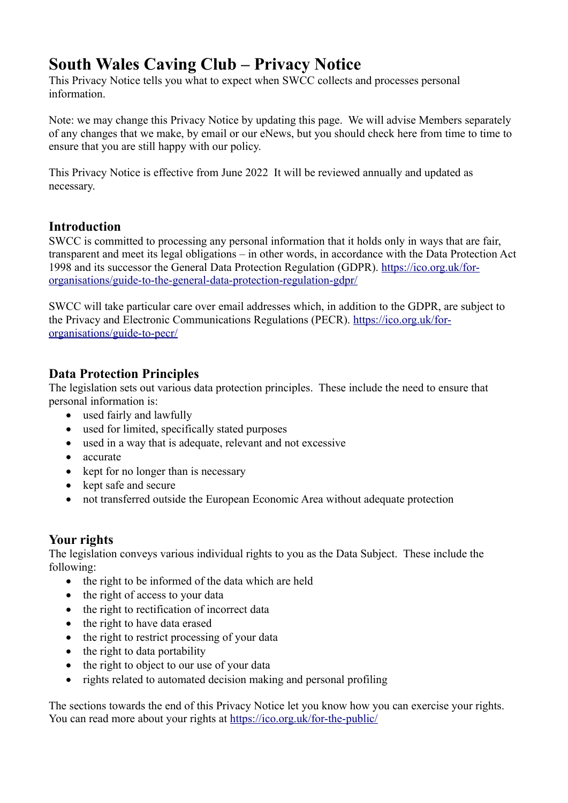# **South Wales Caving Club – Privacy Notice**

This Privacy Notice tells you what to expect when SWCC collects and processes personal information.

Note: we may change this Privacy Notice by updating this page. We will advise Members separately of any changes that we make, by email or our eNews, but you should check here from time to time to ensure that you are still happy with our policy.

This Privacy Notice is effective from June 2022 It will be reviewed annually and updated as necessary.

# **Introduction**

SWCC is committed to processing any personal information that it holds only in ways that are fair, transparent and meet its legal obligations – in other words, in accordance with the Data Protection Act 1998 and its successor the General Data Protection Regulation (GDPR). [https://ico.org.uk/for](https://ico.org.uk/for-organisations/guide-to-the-general-data-protection-regulation-gdpr/)[organisations/guide-to-the-general-data-protection-regulation-gdpr/](https://ico.org.uk/for-organisations/guide-to-the-general-data-protection-regulation-gdpr/)

SWCC will take particular care over email addresses which, in addition to the GDPR, are subject to the Privacy and Electronic Communications Regulations (PECR). [https://ico.org.uk/for](https://ico.org.uk/for-organisations/guide-to-pecr/)[organisations/guide-to-pecr/](https://ico.org.uk/for-organisations/guide-to-pecr/)

# **Data Protection Principles**

The legislation sets out various data protection principles. These include the need to ensure that personal information is:

- used fairly and lawfully
- used for limited, specifically stated purposes
- used in a way that is adequate, relevant and not excessive
- accurate
- kept for no longer than is necessary
- kept safe and secure
- not transferred outside the European Economic Area without adequate protection

# **Your rights**

The legislation conveys various individual rights to you as the Data Subject. These include the following:

- the right to be informed of the data which are held
- the right of access to your data
- the right to rectification of incorrect data
- the right to have data erased
- the right to restrict processing of your data
- the right to data portability
- the right to object to our use of your data
- rights related to automated decision making and personal profiling

The sections towards the end of this Privacy Notice let you know how you can exercise your rights. You can read more about your rights at<https://ico.org.uk/for-the-public/>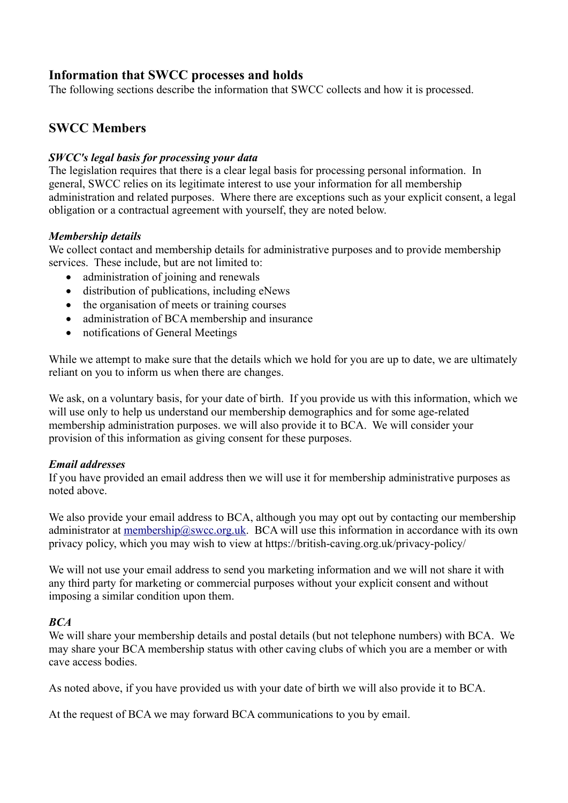# **Information that SWCC processes and holds**

The following sections describe the information that SWCC collects and how it is processed.

# **SWCC Members**

### *SWCC's legal basis for processing your data*

The legislation requires that there is a clear legal basis for processing personal information. In general, SWCC relies on its legitimate interest to use your information for all membership administration and related purposes. Where there are exceptions such as your explicit consent, a legal obligation or a contractual agreement with yourself, they are noted below.

### *Membership details*

We collect contact and membership details for administrative purposes and to provide membership services. These include, but are not limited to:

- administration of joining and renewals
- distribution of publications, including eNews
- the organisation of meets or training courses
- administration of BCA membership and insurance
- notifications of General Meetings

While we attempt to make sure that the details which we hold for you are up to date, we are ultimately reliant on you to inform us when there are changes.

We ask, on a voluntary basis, for your date of birth. If you provide us with this information, which we will use only to help us understand our membership demographics and for some age-related membership administration purposes. we will also provide it to BCA. We will consider your provision of this information as giving consent for these purposes.

#### *Email addresses*

If you have provided an email address then we will use it for membership administrative purposes as noted above.

We also provide your email address to BCA, although you may opt out by contacting our membership administrator at [membership@swcc.org.uk.](mailto:membership@swcc.org.uk) BCA will use this information in accordance with its own privacy policy, which you may wish to view at https://british-caving.org.uk/privacy-policy/

We will not use your email address to send you marketing information and we will not share it with any third party for marketing or commercial purposes without your explicit consent and without imposing a similar condition upon them.

#### *BCA*

We will share your membership details and postal details (but not telephone numbers) with BCA. We may share your BCA membership status with other caving clubs of which you are a member or with cave access bodies.

As noted above, if you have provided us with your date of birth we will also provide it to BCA.

At the request of BCA we may forward BCA communications to you by email.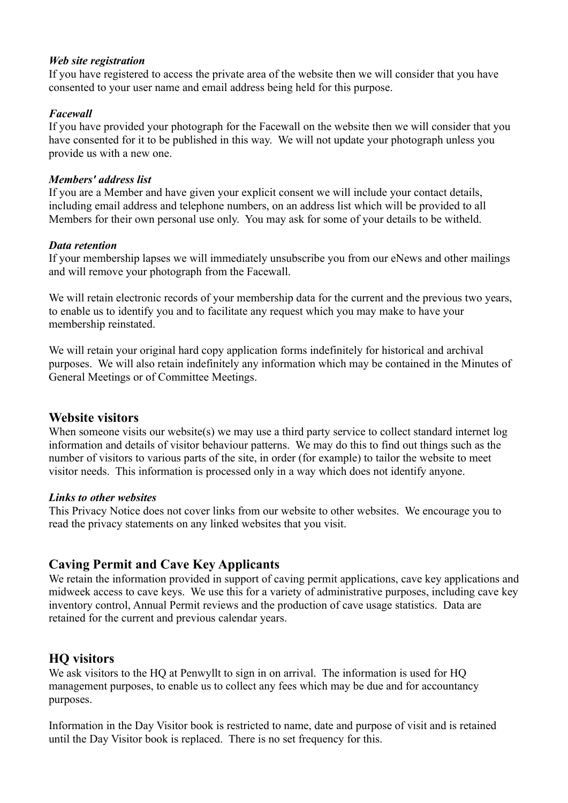### *Web site registration*

If you have registered to access the private area of the website then we will consider that you have consented to your user name and email address being held for this purpose.

### *Facewall*

If you have provided your photograph for the Facewall on the website then we will consider that you have consented for it to be published in this way. We will not update your photograph unless you provide us with a new one.

### *Members' address list*

If you are a Member and have given your explicit consent we will include your contact details, including email address and telephone numbers, on an address list which will be provided to all Members for their own personal use only. You may ask for some of your details to be witheld.

### *Data retention*

If your membership lapses we will immediately unsubscribe you from our eNews and other mailings and will remove your photograph from the Facewall.

We will retain electronic records of your membership data for the current and the previous two years, to enable us to identify you and to facilitate any request which you may make to have your membership reinstated.

We will retain your original hard copy application forms indefinitely for historical and archival purposes. We will also retain indefinitely any information which may be contained in the Minutes of General Meetings or of Committee Meetings.

# **Website visitors**

When someone visits our website(s) we may use a third party service to collect standard internet log information and details of visitor behaviour patterns. We may do this to find out things such as the number of visitors to various parts of the site, in order (for example) to tailor the website to meet visitor needs. This information is processed only in a way which does not identify anyone.

### *Links to other websites*

This Privacy Notice does not cover links from our website to other websites. We encourage you to read the privacy statements on any linked websites that you visit.

# **Caving Permit and Cave Key Applicants**

We retain the information provided in support of caving permit applications, cave key applications and midweek access to cave keys. We use this for a variety of administrative purposes, including cave key inventory control, Annual Permit reviews and the production of cave usage statistics. Data are retained for the current and previous calendar years.

# **HQ visitors**

We ask visitors to the HQ at Penwyllt to sign in on arrival. The information is used for HQ management purposes, to enable us to collect any fees which may be due and for accountancy purposes.

Information in the Day Visitor book is restricted to name, date and purpose of visit and is retained until the Day Visitor book is replaced. There is no set frequency for this.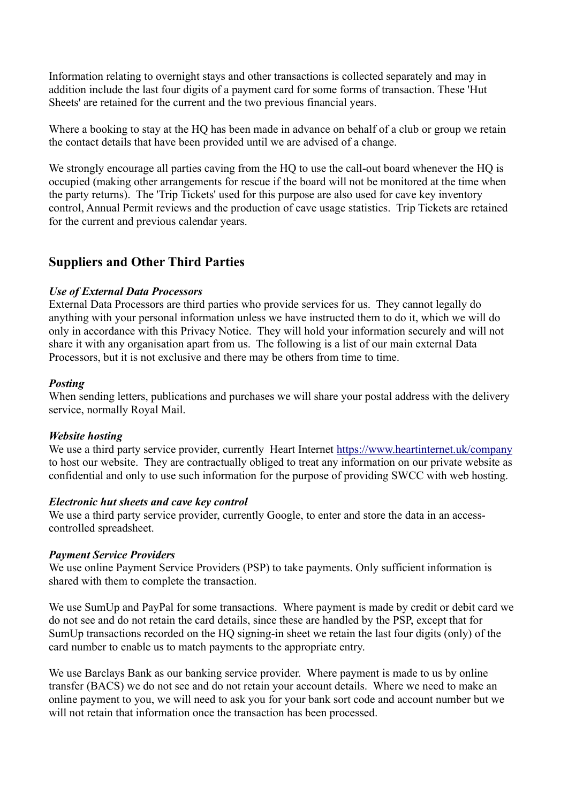Information relating to overnight stays and other transactions is collected separately and may in addition include the last four digits of a payment card for some forms of transaction. These 'Hut Sheets' are retained for the current and the two previous financial years.

Where a booking to stay at the HQ has been made in advance on behalf of a club or group we retain the contact details that have been provided until we are advised of a change.

We strongly encourage all parties caving from the HQ to use the call-out board whenever the HQ is occupied (making other arrangements for rescue if the board will not be monitored at the time when the party returns). The 'Trip Tickets' used for this purpose are also used for cave key inventory control, Annual Permit reviews and the production of cave usage statistics. Trip Tickets are retained for the current and previous calendar years.

# **Suppliers and Other Third Parties**

#### *Use of External Data Processors*

External Data Processors are third parties who provide services for us. They cannot legally do anything with your personal information unless we have instructed them to do it, which we will do only in accordance with this Privacy Notice. They will hold your information securely and will not share it with any organisation apart from us. The following is a list of our main external Data Processors, but it is not exclusive and there may be others from time to time.

### *Posting*

When sending letters, publications and purchases we will share your postal address with the delivery service, normally Royal Mail.

#### *Website hosting*

We use a third party service provider, currently Heart Internet <https://www.heartinternet.uk/company> to host our website. They are contractually obliged to treat any information on our private website as confidential and only to use such information for the purpose of providing SWCC with web hosting.

#### *Electronic hut sheets and cave key control*

We use a third party service provider, currently Google, to enter and store the data in an accesscontrolled spreadsheet.

#### *Payment Service Providers*

We use online Payment Service Providers (PSP) to take payments. Only sufficient information is shared with them to complete the transaction.

We use SumUp and PayPal for some transactions. Where payment is made by credit or debit card we do not see and do not retain the card details, since these are handled by the PSP, except that for SumUp transactions recorded on the HQ signing-in sheet we retain the last four digits (only) of the card number to enable us to match payments to the appropriate entry.

We use Barclays Bank as our banking service provider. Where payment is made to us by online transfer (BACS) we do not see and do not retain your account details. Where we need to make an online payment to you, we will need to ask you for your bank sort code and account number but we will not retain that information once the transaction has been processed.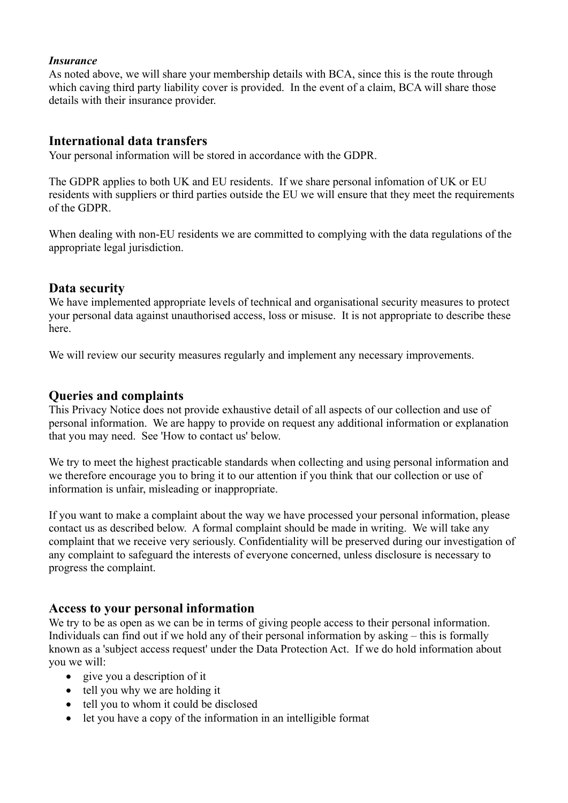### *Insurance*

As noted above, we will share your membership details with BCA, since this is the route through which caving third party liability cover is provided. In the event of a claim, BCA will share those details with their insurance provider.

### **International data transfers**

Your personal information will be stored in accordance with the GDPR.

The GDPR applies to both UK and EU residents. If we share personal infomation of UK or EU residents with suppliers or third parties outside the EU we will ensure that they meet the requirements of the GDPR.

When dealing with non-EU residents we are committed to complying with the data regulations of the appropriate legal jurisdiction.

### **Data security**

We have implemented appropriate levels of technical and organisational security measures to protect your personal data against unauthorised access, loss or misuse. It is not appropriate to describe these here.

We will review our security measures regularly and implement any necessary improvements.

# **Queries and complaints**

This Privacy Notice does not provide exhaustive detail of all aspects of our collection and use of personal information. We are happy to provide on request any additional information or explanation that you may need. See 'How to contact us' below.

We try to meet the highest practicable standards when collecting and using personal information and we therefore encourage you to bring it to our attention if you think that our collection or use of information is unfair, misleading or inappropriate.

If you want to make a complaint about the way we have processed your personal information, please contact us as described below. A formal complaint should be made in writing. We will take any complaint that we receive very seriously. Confidentiality will be preserved during our investigation of any complaint to safeguard the interests of everyone concerned, unless disclosure is necessary to progress the complaint.

# **Access to your personal information**

We try to be as open as we can be in terms of giving people access to their personal information. Individuals can find out if we hold any of their personal information by asking – this is formally known as a 'subject access request' under the Data Protection Act. If we do hold information about you we will:

- give you a description of it
- tell you why we are holding it
- tell you to whom it could be disclosed
- let you have a copy of the information in an intelligible format